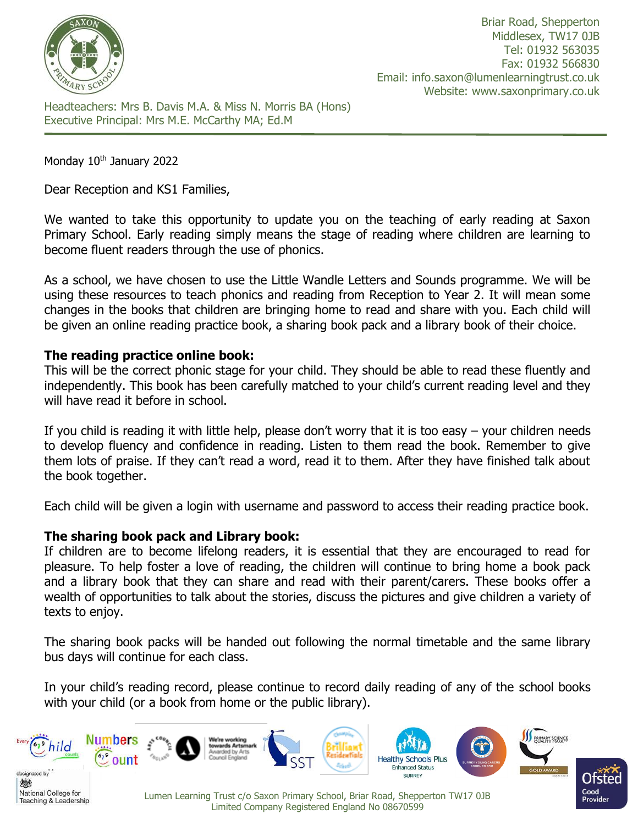

Briar Road, Shepperton Middlesex, TW17 0JB Tel: 01932 563035 Fax: 01932 566830 Email: info.saxon@lumenlearningtrust.co.uk Website: www.saxonprimary.co.uk

Headteachers: Mrs B. Davis M.A. & Miss N. Morris BA (Hons) Executive Principal: Mrs M.E. McCarthy MA; Ed.M

Monday 10<sup>th</sup> January 2022

Dear Reception and KS1 Families,

We wanted to take this opportunity to update you on the teaching of early reading at Saxon Primary School. Early reading simply means the stage of reading where children are learning to become fluent readers through the use of phonics.

As a school, we have chosen to use the Little Wandle Letters and Sounds programme. We will be using these resources to teach phonics and reading from Reception to Year 2. It will mean some changes in the books that children are bringing home to read and share with you. Each child will be given an online reading practice book, a sharing book pack and a library book of their choice.

## **The reading practice online book:**

This will be the correct phonic stage for your child. They should be able to read these fluently and independently. This book has been carefully matched to your child's current reading level and they will have read it before in school.

If you child is reading it with little help, please don't worry that it is too easy – your children needs to develop fluency and confidence in reading. Listen to them read the book. Remember to give them lots of praise. If they can't read a word, read it to them. After they have finished talk about the book together.

Each child will be given a login with username and password to access their reading practice book.

## **The sharing book pack and Library book:**

If children are to become lifelong readers, it is essential that they are encouraged to read for pleasure. To help foster a love of reading, the children will continue to bring home a book pack and a library book that they can share and read with their parent/carers. These books offer a wealth of opportunities to talk about the stories, discuss the pictures and give children a variety of texts to enjoy.

The sharing book packs will be handed out following the normal timetable and the same library bus days will continue for each class.

In your child's reading record, please continue to record daily reading of any of the school books with your child (or a book from home or the public library).